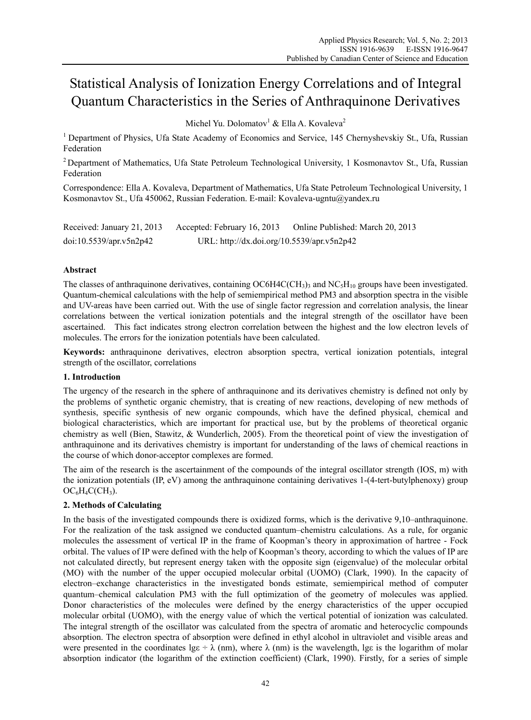# Statistical Analysis of Ionization Energy Correlations and of Integral Quantum Characteristics in the Series of Anthraquinone Derivatives

Michel Yu. Dolomatov<sup>1</sup> & Ella A. Kovaleva<sup>2</sup>

<sup>1</sup> Department of Physics, Ufa State Academy of Economics and Service, 145 Chernyshevskiy St., Ufa, Russian Federation

2 Department of Mathematics, Ufa State Petroleum Technological University, 1 Kosmonavtov St., Ufa, Russian Federation

Correspondence: Ella A. Kovaleva, Department of Mathematics, Ufa State Petroleum Technological University, 1 Kosmonavtov St., Ufa 450062, Russian Federation. E-mail: Kovaleva-ugntu@yandex.ru

| Received: January 21, 2013 | Accepted: February 16, 2013                | Online Published: March 20, 2013 |
|----------------------------|--------------------------------------------|----------------------------------|
| doi:10.5539/apr.v5n2p42    | URL: http://dx.doi.org/10.5539/apr.v5n2p42 |                                  |

# **Abstract**

The classes of anthraquinone derivatives, containing  $OCH4C(CH_3)$  and  $NC_5H_{10}$  groups have been investigated. Quantum-chemical calculations with the help of semiempirical method PM3 and absorption spectra in the visible and UV-areas have been carried out. With the use of single factor regression and correlation analysis, the linear correlations between the vertical ionization potentials and the integral strength of the oscillator have been ascertained. This fact indicates strong electron correlation between the highest and the low electron levels of molecules. The errors for the ionization potentials have been calculated.

**Keywords:** anthraquinone derivatives, electron absorption spectra, vertical ionization potentials, integral strength of the oscillator, correlations

# **1. Introduction**

The urgency of the research in the sphere of anthraquinone and its derivatives chemistry is defined not only by the problems of synthetic organic chemistry, that is creating of new reactions, developing of new methods of synthesis, specific synthesis of new organic compounds, which have the defined physical, chemical and biological characteristics, which are important for practical use, but by the problems of theoretical organic chemistry as well (Bien, Stawitz, & Wunderlich, 2005). From the theoretical point of view the investigation of anthraquinone and its derivatives chemistry is important for understanding of the laws of chemical reactions in the course of which donor-acceptor complexes are formed.

The aim of the research is the ascertainment of the compounds of the integral oscillator strength (IOS, m) with the ionization potentials (IP, eV) among the anthraquinone containing derivatives 1-(4-tert-butylphenoxy) group  $OC_6H_4C(CH_3).$ 

### **2. Methods of Calculating**

In the basis of the investigated compounds there is oxidized forms, which is the derivative 9,10–anthraquinone. For the realization of the task assigned we conducted quantum–chemistru calculations. As a rule, for organic molecules the assessment of vertical IP in the frame of Koopman's theory in approximation of hartree - Fock orbital. The values of IP were defined with the help of Koopman's theory, according to which the values of IP are not calculated directly, but represent energy taken with the opposite sign (eigenvalue) of the molecular orbital (MO) with the number of the upper occupied molecular orbital (UOMO) (Clark, 1990). In the capacity of electron–exchange characteristics in the investigated bonds estimate, semiempirical method of computer quantum–chemical calculation РМ3 with the full optimization of the geometry of molecules was applied. Donor characteristics of the molecules were defined by the energy characteristics of the upper occupied molecular orbital (UOMO), with the energy value of which the vertical potential of ionization was calculated. The integral strength of the oscillator was calculated from the spectra of aromatic and heterocyclic compounds absorption. The electron spectra of absorption were defined in ethyl alcohol in ultraviolet and visible areas and were presented in the coordinates lge ÷  $\lambda$  (nm), where  $\lambda$  (nm) is the wavelength, lge is the logarithm of molar absorption indicator (the logarithm of the extinction coefficient) (Clark, 1990). Firstly, for a series of simple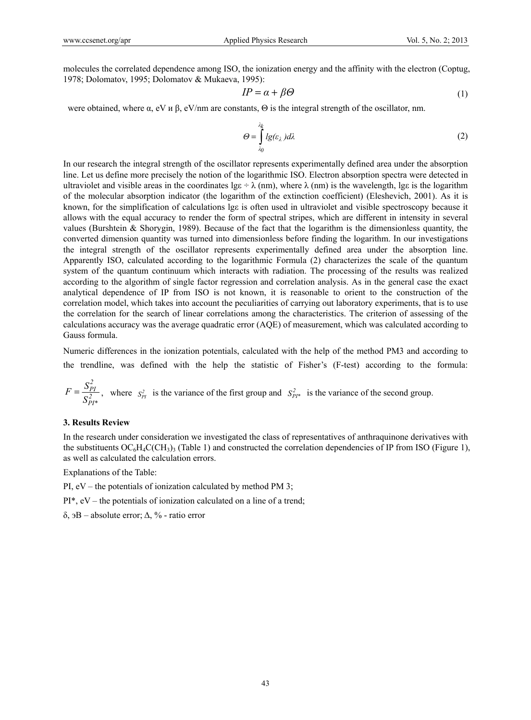molecules the correlated dependence among ISO, the ionization energy and the affinity with the electron (Coptug, 1978; Dolomatov, 1995; Dolomatov & Mukaeva, 1995):

$$
IP = \alpha + \beta \Theta \tag{1}
$$

were obtained, where  $\alpha$ , eV *u* β, eV/nm are constants,  $\Theta$  is the integral strength of the oscillator, nm.

$$
\Theta = \int_{\lambda_0}^{\lambda_k} l g(\varepsilon_\lambda) d\lambda \tag{2}
$$

In our research the integral strength of the oscillator represents experimentally defined area under the absorption line. Let us define more precisely the notion of the logarithmic ISO. Electron absorption spectra were detected in ultraviolet and visible areas in the coordinates  $\lg \div \lambda$  (nm), where  $\lambda$  (nm) is the wavelength, lge is the logarithm of the molecular absorption indicator (the logarithm of the extinction coefficient) (Eleshevich, 2001). As it is known, for the simplification of calculations lgε is often used in ultraviolet and visible spectroscopy because it allows with the equal accuracy to render the form of spectral stripes, which are different in intensity in several values (Burshtein & Shorygin, 1989). Because of the fact that the logarithm is the dimensionless quantity, the converted dimension quantity was turned into dimensionless before finding the logarithm. In our investigations the integral strength of the oscillator represents experimentally defined area under the absorption line. Apparently ISO, calculated according to the logarithmic Formula (2) characterizes the scale of the quantum system of the quantum continuum which interacts with radiation. The processing of the results was realized according to the algorithm of single factor regression and correlation analysis. As in the general case the exact analytical dependence of IP from ISO is not known, it is reasonable to orient to the construction of the correlation model, which takes into account the peculiarities of carrying out laboratory experiments, that is to use the correlation for the search of linear correlations among the characteristics. The criterion of assessing of the calculations accuracy was the average quadratic error (AQE) of measurement, which was calculated according to Gauss formula.

Numeric differences in the ionization potentials, calculated with the help of the method РМ3 and according to the trendline, was defined with the help the statistic of Fisher's (F-test) according to the formula:

$$
F = \frac{S_{PI}^2}{S_{PI^*}^2}
$$
, where  $s_{PI}^2$  is the variance of the first group and  $S_{PI^*}^2$  is the variance of the second group.

#### **3. Results Review**

In the research under consideration we investigated the class of representatives of anthraquinone derivatives with the substituents  $OC_6H_4C(CH_3)$  (Table 1) and constructed the correlation dependencies of IP from ISO (Figure 1), as well as calculated the calculation errors.

Explanations of the Table:

PI, eV – the potentials of ionization calculated by method PM 3;

PI\*, eV – the potentials of ionization calculated on a line of a trend;

δ, эВ – absolute error; Δ, % - ratio error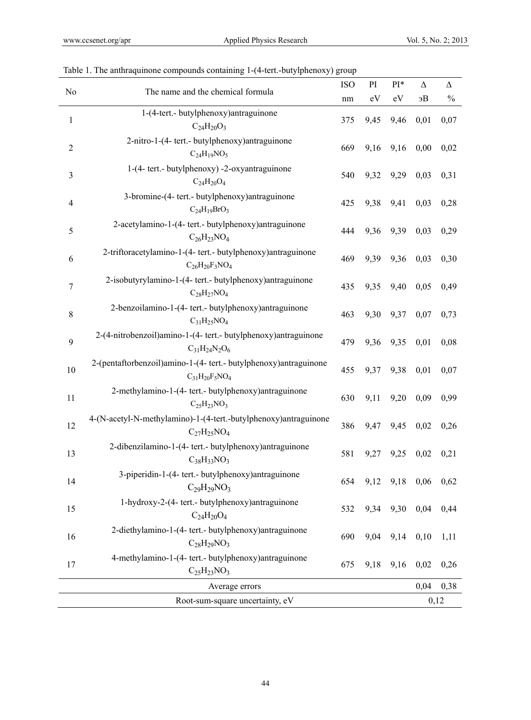| The name and the chemical formula<br>No | <b>ISO</b>                                                                                | PI  | $PI*$ | Δ    | $\Delta$  |               |
|-----------------------------------------|-------------------------------------------------------------------------------------------|-----|-------|------|-----------|---------------|
|                                         |                                                                                           | nm  | eV    | eV   | 9B        | $\frac{0}{0}$ |
| $\mathbf 1$                             | 1-(4-tert.- butylphenoxy)antraguinone<br>$C_{24}H_{20}O_3$                                | 375 | 9,45  | 9,46 | 0,01      | 0,07          |
| $\boldsymbol{2}$                        | 2-nitro-1-(4- tert.- butylphenoxy) antraguinone<br>$C_{24}H_{19}NO_5$                     | 669 | 9,16  | 9,16 | 0,00      | 0,02          |
| $\mathfrak{Z}$                          | 1-(4- tert.- butylphenoxy) -2-oxyantraguinone<br>$C_{24}H_{20}O_4$                        | 540 | 9,32  | 9,29 | 0,03      | 0,31          |
| $\overline{4}$                          | 3-bromine-(4- tert.- butylphenoxy)antraguinone<br>$C_{24}H_{19}BrO_3$                     | 425 | 9,38  | 9,41 | 0,03      | 0,28          |
| 5                                       | 2-acetylamino-1-(4- tert.- butylphenoxy)antraguinone<br>$C_{26}H_{23}NO_4$                | 444 | 9,36  | 9,39 | 0,03      | 0,29          |
| 6                                       | 2-triftoracetylamino-1-(4- tert.- butylphenoxy)antraguinone<br>$C_{26}H_{20}F_3NO_4$      | 469 | 9,39  | 9,36 | 0,03      | 0,30          |
| $\boldsymbol{7}$                        | 2-isobutyrylamino-1-(4- tert.- butylphenoxy)antraguinone<br>$C_{28}H_{27}NO_4$            | 435 | 9,35  | 9,40 | 0,05      | 0,49          |
| $\,8\,$                                 | 2-benzoilamino-1-(4- tert.- butylphenoxy)antraguinone<br>$C_{31}H_{25}NO_4$               | 463 | 9,30  | 9,37 | 0,07      | 0,73          |
| 9                                       | 2-(4-nitrobenzoil)amino-1-(4- tert.- butylphenoxy)antraguinone<br>$C_{31}H_{24}N_2O_6$    | 479 | 9,36  | 9,35 | 0,01      | 0,08          |
| 10                                      | 2-(pentaftorbenzoil)amino-1-(4- tert.- butylphenoxy)antraguinone<br>$C_{31}H_{20}F_5NO_4$ | 455 | 9,37  | 9,38 | 0,01      | 0,07          |
| 11                                      | 2-methylamino-1-(4- tert.- butylphenoxy)antraguinone<br>$C_{25}H_{23}NO_3$                | 630 | 9,11  | 9,20 | 0,09      | 0,99          |
| 12                                      | 4-(N-acetyl-N-methylamino)-1-(4-tert.-butylphenoxy)antraguinone<br>$C_{27}H_{25}NO_4$     | 386 | 9,47  | 9,45 | 0,02      | 0,26          |
| 13                                      | 2-dibenzilamino-1-(4- tert.- butylphenoxy)antraguinone<br>$C_{38}H_{33}NO_3$              | 581 | 9,27  | 9,25 | 0,02      | 0,21          |
| 14                                      | 3-piperidin-1-(4- tert.- butylphenoxy)antraguinone<br>$C_{29}H_{29}NO_3$                  | 654 | 9,12  |      | 9,18 0,06 | 0,62          |
| 15                                      | 1-hydroxy-2-(4- tert.- butylphenoxy)antraguinone<br>$C_{24}H_{20}O_4$                     | 532 | 9,34  | 9,30 | 0,04      | 0,44          |
| 16                                      | 2-diethylamino-1-(4- tert.- butylphenoxy)antraguinone<br>$C_{28}H_{29}NO_3$               | 690 | 9,04  | 9,14 | 0,10      | 1,11          |
| 17                                      | 4-methylamino-1-(4- tert.- butylphenoxy)antraguinone<br>$C_{25}H_{23}NO_3$                | 675 | 9,18  | 9,16 | 0,02      | 0,26          |
|                                         | Average errors                                                                            |     |       |      | 0,04      | 0,38          |
| Root-sum-square uncertainty, eV         |                                                                                           |     |       |      |           | 0,12          |

# Table 1. The anthraquinone compounds containing 1-(4-tert.-butylphenoxy) group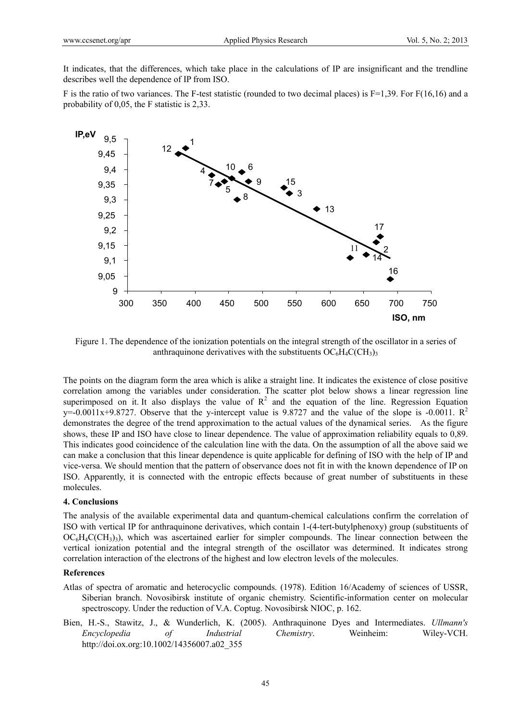It indicates, that the differences, which take place in the calculations of IP are insignificant and the trendline describes well the dependence of IP from ISO.

F is the ratio of two variances. The F-test statistic (rounded to two decimal places) is  $F=1,39$ . For  $F(16,16)$  and a probability of 0,05, the F statistic is 2,33.



Figure 1. The dependence of the ionization potentials on the integral strength of the oscillator in a series of anthraquinone derivatives with the substituents  $OC<sub>6</sub>H<sub>4</sub>C(CH<sub>3</sub>)<sub>3</sub>$ 

The points on the diagram form the area which is alike a straight line. It indicates the existence of close positive correlation among the variables under consideration. The scatter plot below shows a linear regression line superimposed on it. It also displays the value of  $R^2$  and the equation of the line. Regression Equation y=-0.0011x+9.8727. Observe that the y-intercept value is 9.8727 and the value of the slope is -0.0011.  $\mathbb{R}^2$ demonstrates the degree of the trend approximation to the actual values of the dynamical series. As the figure shows, these IP and ISO have close to linear dependence. The value of approximation reliability equals to 0,89. This indicates good coincidence of the calculation line with the data. On the assumption of all the above said we can make a conclusion that this linear dependence is quite applicable for defining of ISO with the help of IP and vice-versa. We should mention that the pattern of observance does not fit in with the known dependence of IP on ISO. Apparently, it is connected with the entropic effects because of great number of substituents in these molecules.

#### **4. Conclusions**

The analysis of the available experimental data and quantum-chemical calculations confirm the correlation of ISO with vertical IP for anthraquinone derivatives, which contain 1-(4-tert-butylphenoxy) group (substituents of  $OC_6H_4C(CH_3)$ , which was ascertained earlier for simpler compounds. The linear connection between the vertical ionization potential and the integral strength of the oscillator was determined. It indicates strong correlation interaction of the electrons of the highest and low electron levels of the molecules.

#### **References**

- Atlas of spectra of aromatic and heterocyclic compounds. (1978). Edition 16/Academy of sciences of USSR, Siberian branch. Novosibirsk institute of organic chemistry. Scientific-information center on molecular spectroscopy. Under the reduction of V.A. Coptug. Novosibirsk NIOC, p. 162.
- Bien, H.-S., Stawitz, J., & Wunderlich, K. (2005). Anthraquinone Dyes and Intermediates. *Ullmann's Encyclopedia of Industrial Chemistry*. Weinheim: Wiley-VCH. http://doi.ox.org:10.1002/14356007.a02\_355